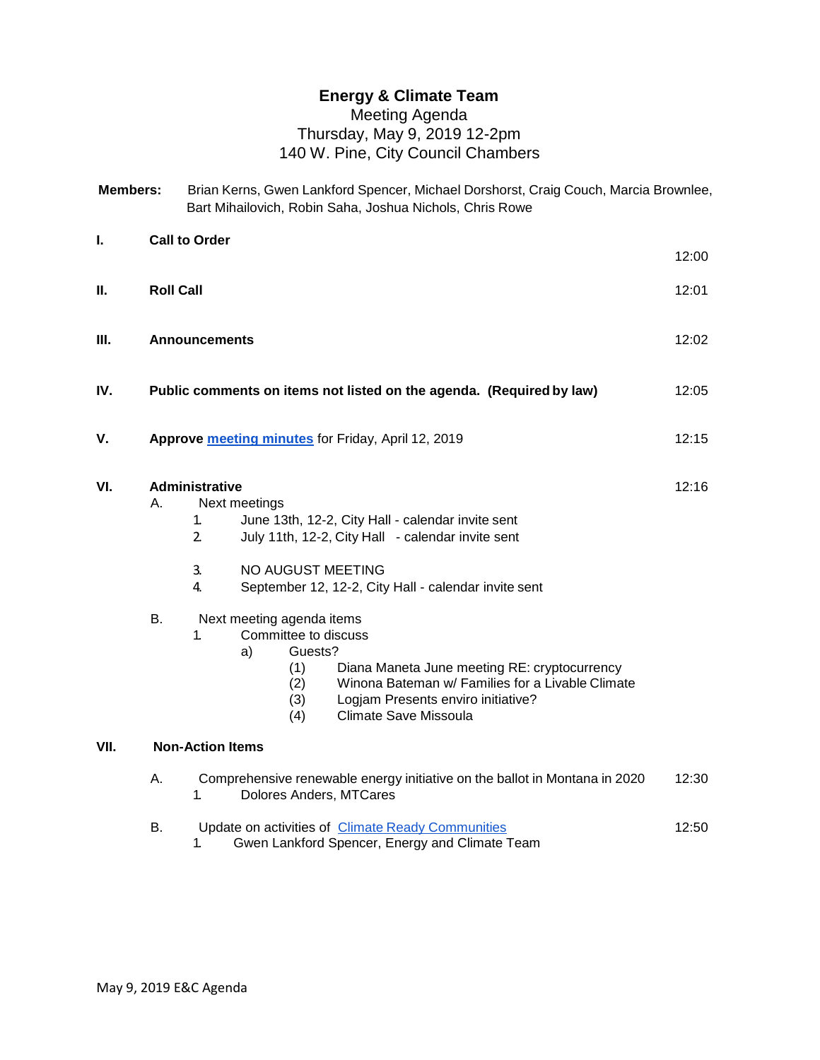## **Energy & Climate Team**

## Meeting Agenda Thursday, May 9, 2019 12-2pm 140 W. Pine, City Council Chambers

| <b>Members:</b> | Brian Kerns, Gwen Lankford Spencer, Michael Dorshorst, Craig Couch, Marcia Brownlee, |
|-----------------|--------------------------------------------------------------------------------------|
|                 | Bart Mihailovich, Robin Saha, Joshua Nichols, Chris Rowe                             |

| Ι.   |                  | <b>Call to Order</b>                                                                                                                                                                                                                                                                                                         | 12:00 |  |
|------|------------------|------------------------------------------------------------------------------------------------------------------------------------------------------------------------------------------------------------------------------------------------------------------------------------------------------------------------------|-------|--|
| Ш.   | <b>Roll Call</b> |                                                                                                                                                                                                                                                                                                                              |       |  |
| Ш.   |                  | <b>Announcements</b>                                                                                                                                                                                                                                                                                                         | 12:02 |  |
| IV.  |                  | Public comments on items not listed on the agenda. (Required by law)                                                                                                                                                                                                                                                         | 12:05 |  |
| V.   |                  | Approve meeting minutes for Friday, April 12, 2019                                                                                                                                                                                                                                                                           | 12:15 |  |
| VI.  | Α.<br><b>B.</b>  | <b>Administrative</b><br>Next meetings<br>1.<br>June 13th, 12-2, City Hall - calendar invite sent<br>$\overline{2}$<br>July 11th, 12-2, City Hall - calendar invite sent<br>NO AUGUST MEETING<br>3.<br>4.<br>September 12, 12-2, City Hall - calendar invite sent<br>Next meeting agenda items<br>1.<br>Committee to discuss | 12:16 |  |
|      |                  | Guests?<br>a)<br>Diana Maneta June meeting RE: cryptocurrency<br>(1)<br>Winona Bateman w/ Families for a Livable Climate<br>(2)<br>Logjam Presents enviro initiative?<br>(3)<br><b>Climate Save Missoula</b><br>(4)                                                                                                          |       |  |
| VII. |                  | <b>Non-Action Items</b>                                                                                                                                                                                                                                                                                                      |       |  |
|      | Α.               | Comprehensive renewable energy initiative on the ballot in Montana in 2020<br>Dolores Anders, MTCares<br>1.                                                                                                                                                                                                                  | 12:30 |  |

|  | Update on activities of Climate Ready Communities | 12:50 |
|--|---------------------------------------------------|-------|
|  | Gwen Lankford Spencer, Energy and Climate Team    |       |